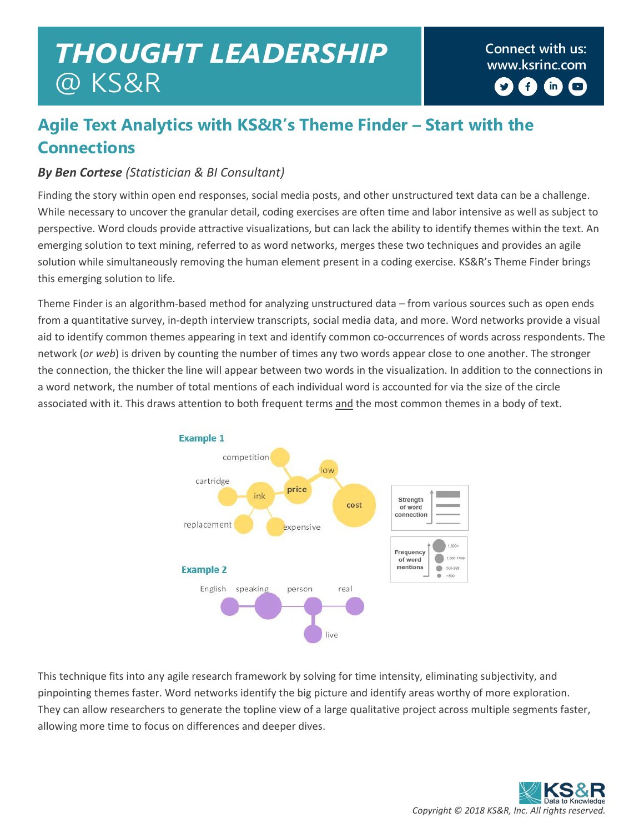# **Connect with us:** *THOUGHT LEADERSHIP* **[www.ksrinc.com](http://www.ksrinc.com/)** @ KS&R

 $\left( \begin{matrix} 1 \\ 1 \end{matrix} \right)$  $\left( \mathbf{in}\right)$  $\Box$ 

## **Agile Text Analytics with KS&R's Theme Finder – Start with the Connections**

#### *By Ben Cortese (Statistician & BI Consultant)*

Finding the story within open end responses, social media posts, and other unstructured text data can be a challenge. While necessary to uncover the granular detail, coding exercises are often time and labor intensive as well as subject to perspective. Word clouds provide attractive visualizations, but can lack the ability to identify themes within the text. An emerging solution to text mining, referred to as word networks, merges these two techniques and provides an agile solution while simultaneously removing the human element present in a coding exercise. KS&R's Theme Finder brings this emerging solution to life.

Theme Finder is an algorithm-based method for analyzing unstructured data – from various sources such as open ends from a quantitative survey, in-depth interview transcripts, social media data, and more. Word networks provide a visual aid to identify common themes appearing in text and identify common co-occurrences of words across respondents. The network (*or web*) is driven by counting the number of times any two words appear close to one another. The stronger the connection, the thicker the line will appear between two words in the visualization. In addition to the connections in a word network, the number of total mentions of each individual word is accounted for via the size of the circle associated with it. This draws attention to both frequent terms and the most common themes in a body of text.



This technique fits into any agile research framework by solving for time intensity, eliminating subjectivity, and pinpointing themes faster. Word networks identify the big picture and identify areas worthy of more exploration. They can allow researchers to generate the topline view of a large qualitative project across multiple segments faster, allowing more time to focus on differences and deeper dives.

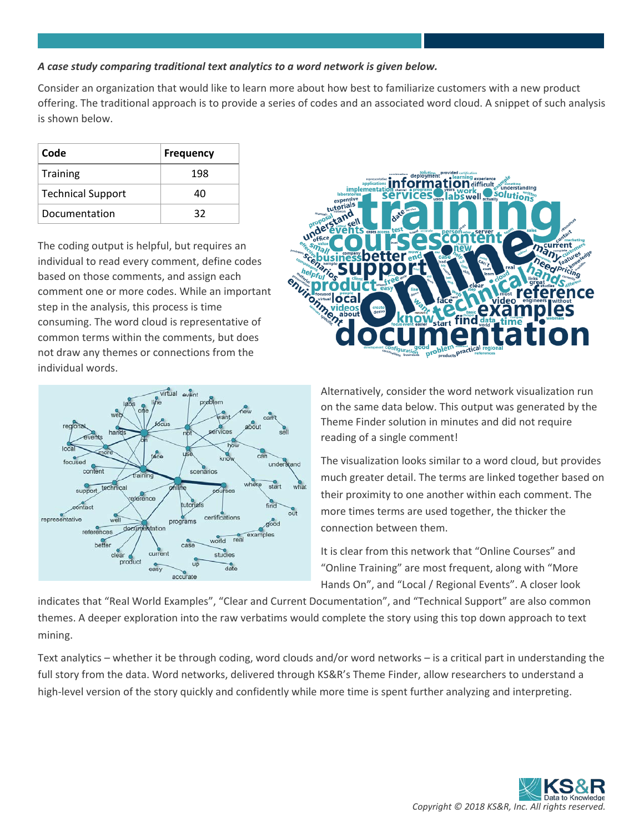#### *A case study comparing traditional text analytics to a word network is given below.*

Consider an organization that would like to learn more about how best to familiarize customers with a new product offering. The traditional approach is to provide a series of codes and an associated word cloud. A snippet of such analysis is shown below.

| Code                     | <b>Frequency</b> |
|--------------------------|------------------|
| Training                 | 198              |
| <b>Technical Support</b> | 40               |
| Documentation            | 32               |

The coding output is helpful, but requires an individual to read every comment, define codes based on those comments, and assign each comment one or more codes. While an important step in the analysis, this process is time consuming. The word cloud is representative of common terms within the comments, but does not draw any themes or connections from the individual words.





Alternatively, consider the word network visualization run on the same data below. This output was generated by the Theme Finder solution in minutes and did not require reading of a single comment!

The visualization looks similar to a word cloud, but provides much greater detail. The terms are linked together based on their proximity to one another within each comment. The more times terms are used together, the thicker the connection between them.

It is clear from this network that "Online Courses" and "Online Training" are most frequent, along with "More Hands On", and "Local / Regional Events". A closer look

indicates that "Real World Examples", "Clear and Current Documentation", and "Technical Support" are also common themes. A deeper exploration into the raw verbatims would complete the story using this top down approach to text mining.

Text analytics – whether it be through coding, word clouds and/or word networks – is a critical part in understanding the full story from the data. Word networks, delivered through KS&R's Theme Finder, allow researchers to understand a high-level version of the story quickly and confidently while more time is spent further analyzing and interpreting.